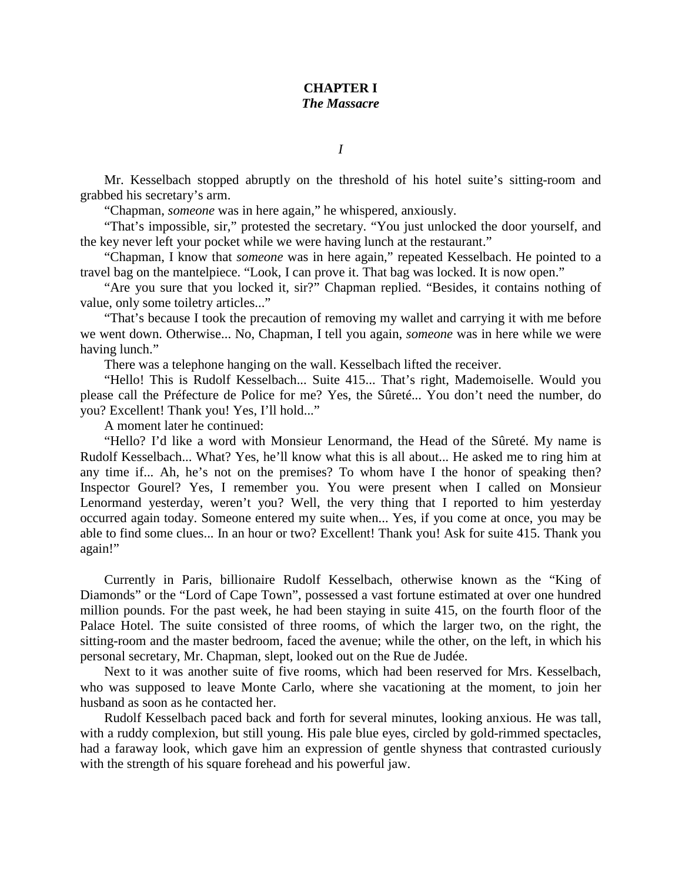## **CHAPTER I** *The Massacre*

*I*

Mr. Kesselbach stopped abruptly on the threshold of his hotel suite's sitting-room and grabbed his secretary's arm.

"Chapman, *someone* was in here again," he whispered, anxiously.

"That's impossible, sir," protested the secretary. "You just unlocked the door yourself, and the key never left your pocket while we were having lunch at the restaurant."

"Chapman, I know that *someone* was in here again," repeated Kesselbach. He pointed to a travel bag on the mantelpiece. "Look, I can prove it. That bag was locked. It is now open."

"Are you sure that you locked it, sir?" Chapman replied. "Besides, it contains nothing of value, only some toiletry articles..."

"That's because I took the precaution of removing my wallet and carrying it with me before we went down. Otherwise... No, Chapman, I tell you again, *someone* was in here while we were having lunch."

There was a telephone hanging on the wall. Kesselbach lifted the receiver.

"Hello! This is Rudolf Kesselbach... Suite 415... That's right, Mademoiselle. Would you please call the Préfecture de Police for me? Yes, the Sûreté... You don't need the number, do you? Excellent! Thank you! Yes, I'll hold..."

A moment later he continued:

"Hello? I'd like a word with Monsieur Lenormand, the Head of the Sûreté. My name is Rudolf Kesselbach... What? Yes, he'll know what this is all about... He asked me to ring him at any time if... Ah, he's not on the premises? To whom have I the honor of speaking then? Inspector Gourel? Yes, I remember you. You were present when I called on Monsieur Lenormand yesterday, weren't you? Well, the very thing that I reported to him yesterday occurred again today. Someone entered my suite when... Yes, if you come at once, you may be able to find some clues... In an hour or two? Excellent! Thank you! Ask for suite 415. Thank you again!"

Currently in Paris, billionaire Rudolf Kesselbach, otherwise known as the "King of Diamonds" or the "Lord of Cape Town", possessed a vast fortune estimated at over one hundred million pounds. For the past week, he had been staying in suite 415, on the fourth floor of the Palace Hotel. The suite consisted of three rooms, of which the larger two, on the right, the sitting-room and the master bedroom, faced the avenue; while the other, on the left, in which his personal secretary, Mr. Chapman, slept, looked out on the Rue de Judée.

Next to it was another suite of five rooms, which had been reserved for Mrs. Kesselbach, who was supposed to leave Monte Carlo, where she vacationing at the moment, to join her husband as soon as he contacted her.

Rudolf Kesselbach paced back and forth for several minutes, looking anxious. He was tall, with a ruddy complexion, but still young. His pale blue eyes, circled by gold-rimmed spectacles, had a faraway look, which gave him an expression of gentle shyness that contrasted curiously with the strength of his square forehead and his powerful jaw.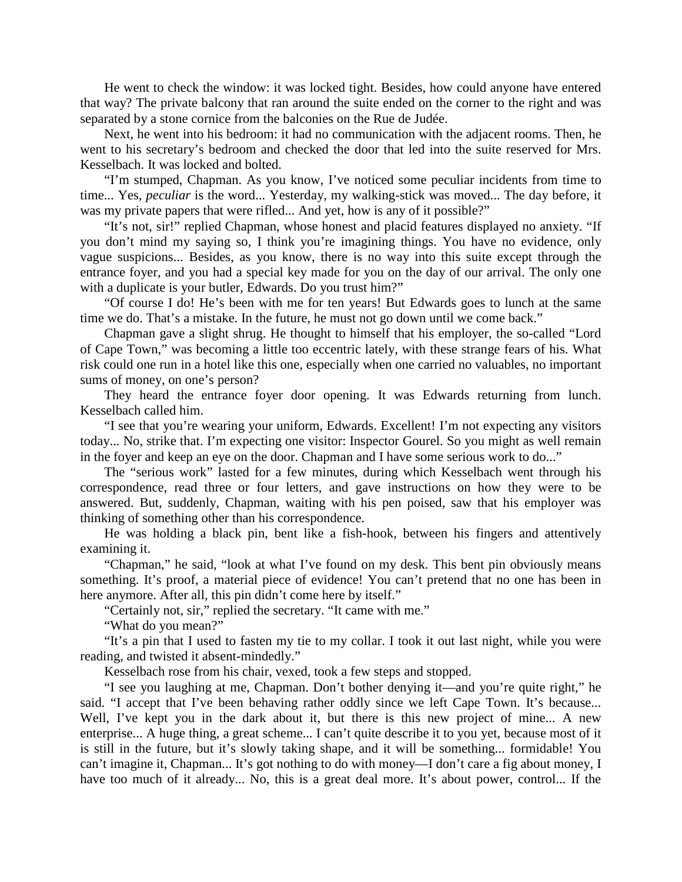He went to check the window: it was locked tight. Besides, how could anyone have entered that way? The private balcony that ran around the suite ended on the corner to the right and was separated by a stone cornice from the balconies on the Rue de Judée.

Next, he went into his bedroom: it had no communication with the adjacent rooms. Then, he went to his secretary's bedroom and checked the door that led into the suite reserved for Mrs. Kesselbach. It was locked and bolted.

"I'm stumped, Chapman. As you know, I've noticed some peculiar incidents from time to time... Yes, *peculiar* is the word... Yesterday, my walking-stick was moved... The day before, it was my private papers that were rifled... And yet, how is any of it possible?"

"It's not, sir!" replied Chapman, whose honest and placid features displayed no anxiety. "If you don't mind my saying so, I think you're imagining things. You have no evidence, only vague suspicions... Besides, as you know, there is no way into this suite except through the entrance foyer, and you had a special key made for you on the day of our arrival. The only one with a duplicate is your butler, Edwards. Do you trust him?"

"Of course I do! He's been with me for ten years! But Edwards goes to lunch at the same time we do. That's a mistake. In the future, he must not go down until we come back."

Chapman gave a slight shrug. He thought to himself that his employer, the so-called "Lord of Cape Town," was becoming a little too eccentric lately, with these strange fears of his. What risk could one run in a hotel like this one, especially when one carried no valuables, no important sums of money, on one's person?

They heard the entrance foyer door opening. It was Edwards returning from lunch. Kesselbach called him.

"I see that you're wearing your uniform, Edwards. Excellent! I'm not expecting any visitors today... No, strike that. I'm expecting one visitor: Inspector Gourel. So you might as well remain in the foyer and keep an eye on the door. Chapman and I have some serious work to do..."

The "serious work" lasted for a few minutes, during which Kesselbach went through his correspondence, read three or four letters, and gave instructions on how they were to be answered. But, suddenly, Chapman, waiting with his pen poised, saw that his employer was thinking of something other than his correspondence.

He was holding a black pin, bent like a fish-hook, between his fingers and attentively examining it.

"Chapman," he said, "look at what I've found on my desk. This bent pin obviously means something. It's proof, a material piece of evidence! You can't pretend that no one has been in here anymore. After all, this pin didn't come here by itself."

"Certainly not, sir," replied the secretary. "It came with me."

"What do you mean?"

"It's a pin that I used to fasten my tie to my collar. I took it out last night, while you were reading, and twisted it absent-mindedly."

Kesselbach rose from his chair, vexed, took a few steps and stopped.

"I see you laughing at me, Chapman. Don't bother denying it—and you're quite right," he said. "I accept that I've been behaving rather oddly since we left Cape Town. It's because... Well, I've kept you in the dark about it, but there is this new project of mine... A new enterprise... A huge thing, a great scheme... I can't quite describe it to you yet, because most of it is still in the future, but it's slowly taking shape, and it will be something... formidable! You can't imagine it, Chapman... It's got nothing to do with money—I don't care a fig about money, I have too much of it already... No, this is a great deal more. It's about power, control... If the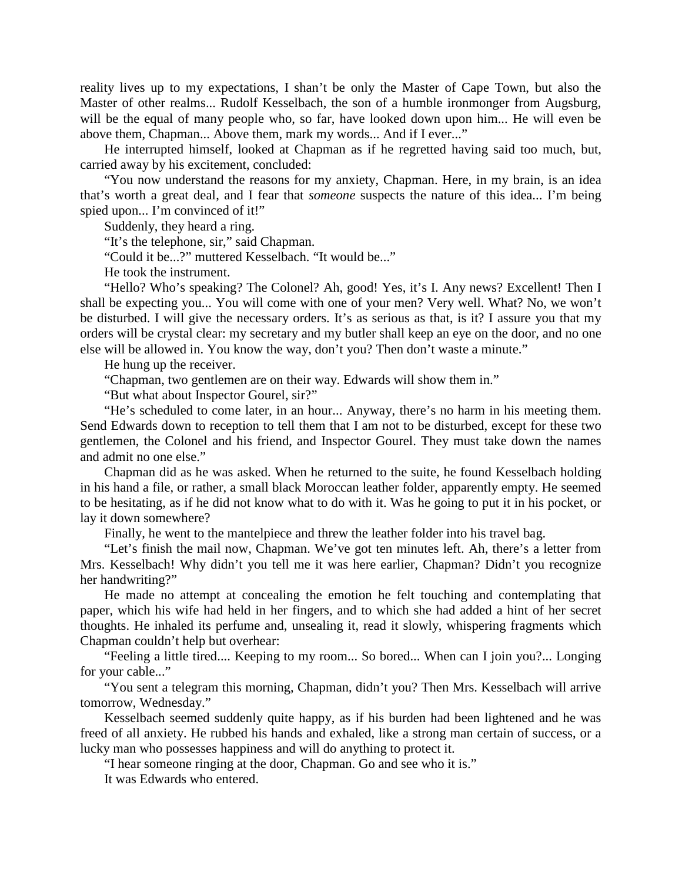reality lives up to my expectations, I shan't be only the Master of Cape Town, but also the Master of other realms... Rudolf Kesselbach, the son of a humble ironmonger from Augsburg, will be the equal of many people who, so far, have looked down upon him... He will even be above them, Chapman... Above them, mark my words... And if I ever..."

He interrupted himself, looked at Chapman as if he regretted having said too much, but, carried away by his excitement, concluded:

"You now understand the reasons for my anxiety, Chapman. Here, in my brain, is an idea that's worth a great deal, and I fear that *someone* suspects the nature of this idea... I'm being spied upon... I'm convinced of it!"

Suddenly, they heard a ring.

"It's the telephone, sir," said Chapman.

"Could it be...?" muttered Kesselbach. "It would be..."

He took the instrument.

"Hello? Who's speaking? The Colonel? Ah, good! Yes, it's I. Any news? Excellent! Then I shall be expecting you... You will come with one of your men? Very well. What? No, we won't be disturbed. I will give the necessary orders. It's as serious as that, is it? I assure you that my orders will be crystal clear: my secretary and my butler shall keep an eye on the door, and no one else will be allowed in. You know the way, don't you? Then don't waste a minute."

He hung up the receiver.

"Chapman, two gentlemen are on their way. Edwards will show them in."

"But what about Inspector Gourel, sir?"

"He's scheduled to come later, in an hour... Anyway, there's no harm in his meeting them. Send Edwards down to reception to tell them that I am not to be disturbed, except for these two gentlemen, the Colonel and his friend, and Inspector Gourel. They must take down the names and admit no one else."

Chapman did as he was asked. When he returned to the suite, he found Kesselbach holding in his hand a file, or rather, a small black Moroccan leather folder, apparently empty. He seemed to be hesitating, as if he did not know what to do with it. Was he going to put it in his pocket, or lay it down somewhere?

Finally, he went to the mantelpiece and threw the leather folder into his travel bag.

"Let's finish the mail now, Chapman. We've got ten minutes left. Ah, there's a letter from Mrs. Kesselbach! Why didn't you tell me it was here earlier, Chapman? Didn't you recognize her handwriting?"

He made no attempt at concealing the emotion he felt touching and contemplating that paper, which his wife had held in her fingers, and to which she had added a hint of her secret thoughts. He inhaled its perfume and, unsealing it, read it slowly, whispering fragments which Chapman couldn't help but overhear:

"Feeling a little tired.... Keeping to my room... So bored... When can I join you?... Longing for your cable..."

"You sent a telegram this morning, Chapman, didn't you? Then Mrs. Kesselbach will arrive tomorrow, Wednesday."

Kesselbach seemed suddenly quite happy, as if his burden had been lightened and he was freed of all anxiety. He rubbed his hands and exhaled, like a strong man certain of success, or a lucky man who possesses happiness and will do anything to protect it.

"I hear someone ringing at the door, Chapman. Go and see who it is."

It was Edwards who entered.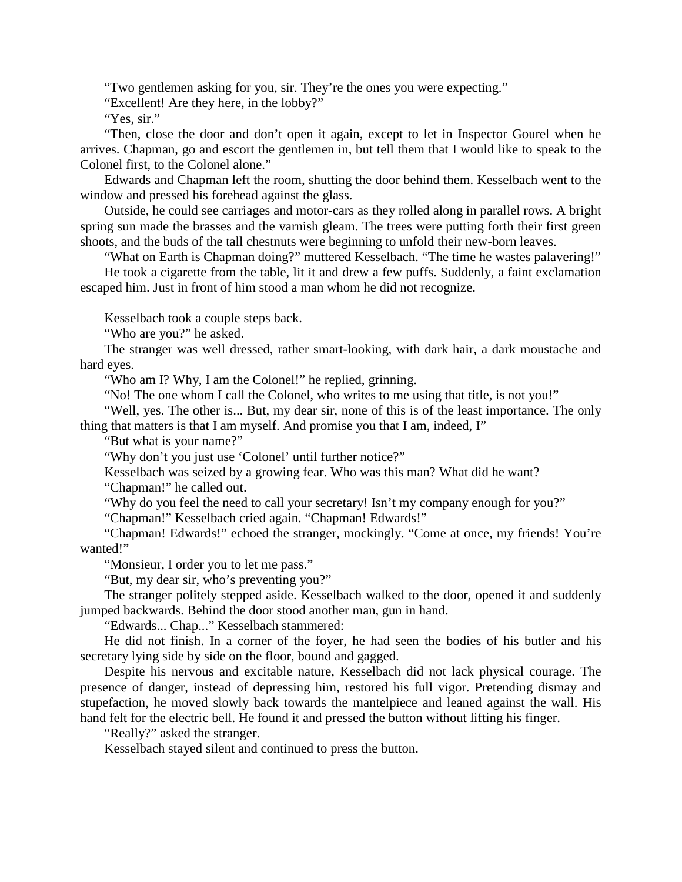"Two gentlemen asking for you, sir. They're the ones you were expecting."

"Excellent! Are they here, in the lobby?"

"Yes, sir."

"Then, close the door and don't open it again, except to let in Inspector Gourel when he arrives. Chapman, go and escort the gentlemen in, but tell them that I would like to speak to the Colonel first, to the Colonel alone."

Edwards and Chapman left the room, shutting the door behind them. Kesselbach went to the window and pressed his forehead against the glass.

Outside, he could see carriages and motor-cars as they rolled along in parallel rows. A bright spring sun made the brasses and the varnish gleam. The trees were putting forth their first green shoots, and the buds of the tall chestnuts were beginning to unfold their new-born leaves.

"What on Earth is Chapman doing?" muttered Kesselbach. "The time he wastes palavering!"

He took a cigarette from the table, lit it and drew a few puffs. Suddenly, a faint exclamation escaped him. Just in front of him stood a man whom he did not recognize.

Kesselbach took a couple steps back.

"Who are you?" he asked.

The stranger was well dressed, rather smart-looking, with dark hair, a dark moustache and hard eyes.

"Who am I? Why, I am the Colonel!" he replied, grinning.

"No! The one whom I call the Colonel, who writes to me using that title, is not you!"

"Well, yes. The other is... But, my dear sir, none of this is of the least importance. The only thing that matters is that I am myself. And promise you that I am, indeed, I"

"But what is your name?"

"Why don't you just use 'Colonel' until further notice?"

Kesselbach was seized by a growing fear. Who was this man? What did he want?

"Chapman!" he called out.

"Why do you feel the need to call your secretary! Isn't my company enough for you?"

"Chapman!" Kesselbach cried again. "Chapman! Edwards!"

"Chapman! Edwards!" echoed the stranger, mockingly. "Come at once, my friends! You're wanted!"

"Monsieur, I order you to let me pass."

"But, my dear sir, who's preventing you?"

The stranger politely stepped aside. Kesselbach walked to the door, opened it and suddenly jumped backwards. Behind the door stood another man, gun in hand.

"Edwards... Chap..." Kesselbach stammered:

He did not finish. In a corner of the foyer, he had seen the bodies of his butler and his secretary lying side by side on the floor, bound and gagged.

Despite his nervous and excitable nature, Kesselbach did not lack physical courage. The presence of danger, instead of depressing him, restored his full vigor. Pretending dismay and stupefaction, he moved slowly back towards the mantelpiece and leaned against the wall. His hand felt for the electric bell. He found it and pressed the button without lifting his finger.

"Really?" asked the stranger.

Kesselbach stayed silent and continued to press the button.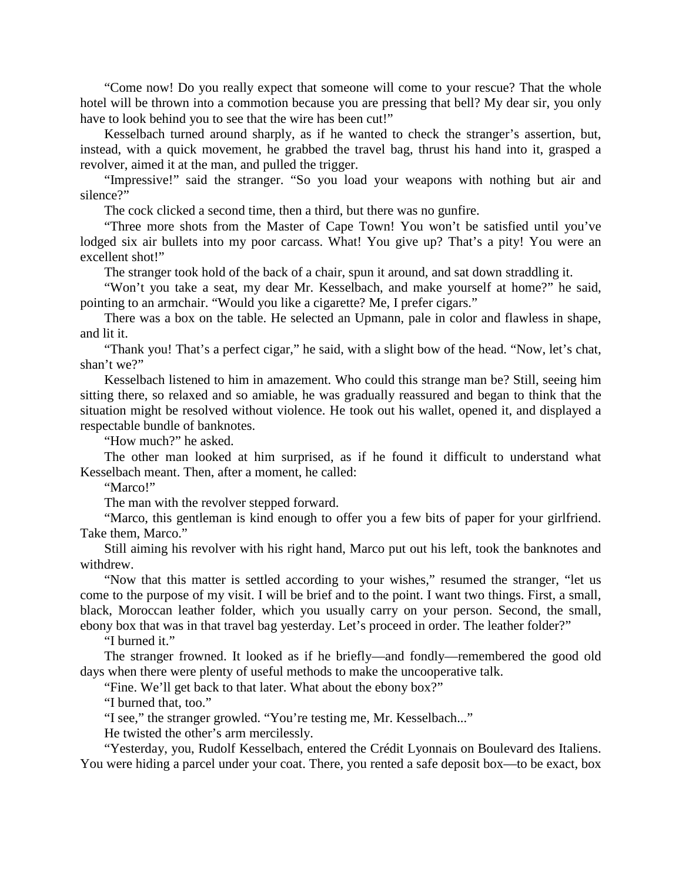"Come now! Do you really expect that someone will come to your rescue? That the whole hotel will be thrown into a commotion because you are pressing that bell? My dear sir, you only have to look behind you to see that the wire has been cut!"

Kesselbach turned around sharply, as if he wanted to check the stranger's assertion, but, instead, with a quick movement, he grabbed the travel bag, thrust his hand into it, grasped a revolver, aimed it at the man, and pulled the trigger.

"Impressive!" said the stranger. "So you load your weapons with nothing but air and silence?"

The cock clicked a second time, then a third, but there was no gunfire.

"Three more shots from the Master of Cape Town! You won't be satisfied until you've lodged six air bullets into my poor carcass. What! You give up? That's a pity! You were an excellent shot!"

The stranger took hold of the back of a chair, spun it around, and sat down straddling it.

"Won't you take a seat, my dear Mr. Kesselbach, and make yourself at home?" he said, pointing to an armchair. "Would you like a cigarette? Me, I prefer cigars."

There was a box on the table. He selected an Upmann, pale in color and flawless in shape, and lit it.

"Thank you! That's a perfect cigar," he said, with a slight bow of the head. "Now, let's chat, shan't we?"

Kesselbach listened to him in amazement. Who could this strange man be? Still, seeing him sitting there, so relaxed and so amiable, he was gradually reassured and began to think that the situation might be resolved without violence. He took out his wallet, opened it, and displayed a respectable bundle of banknotes.

"How much?" he asked.

The other man looked at him surprised, as if he found it difficult to understand what Kesselbach meant. Then, after a moment, he called:

"Marco!"

The man with the revolver stepped forward.

"Marco, this gentleman is kind enough to offer you a few bits of paper for your girlfriend. Take them, Marco."

Still aiming his revolver with his right hand, Marco put out his left, took the banknotes and withdrew.

"Now that this matter is settled according to your wishes," resumed the stranger, "let us come to the purpose of my visit. I will be brief and to the point. I want two things. First, a small, black, Moroccan leather folder, which you usually carry on your person. Second, the small, ebony box that was in that travel bag yesterday. Let's proceed in order. The leather folder?"

"I burned it."

The stranger frowned. It looked as if he briefly—and fondly—remembered the good old days when there were plenty of useful methods to make the uncooperative talk.

"Fine. We'll get back to that later. What about the ebony box?"

"I burned that, too."

"I see," the stranger growled. "You're testing me, Mr. Kesselbach..."

He twisted the other's arm mercilessly.

"Yesterday, you, Rudolf Kesselbach, entered the Crédit Lyonnais on Boulevard des Italiens. You were hiding a parcel under your coat. There, you rented a safe deposit box—to be exact, box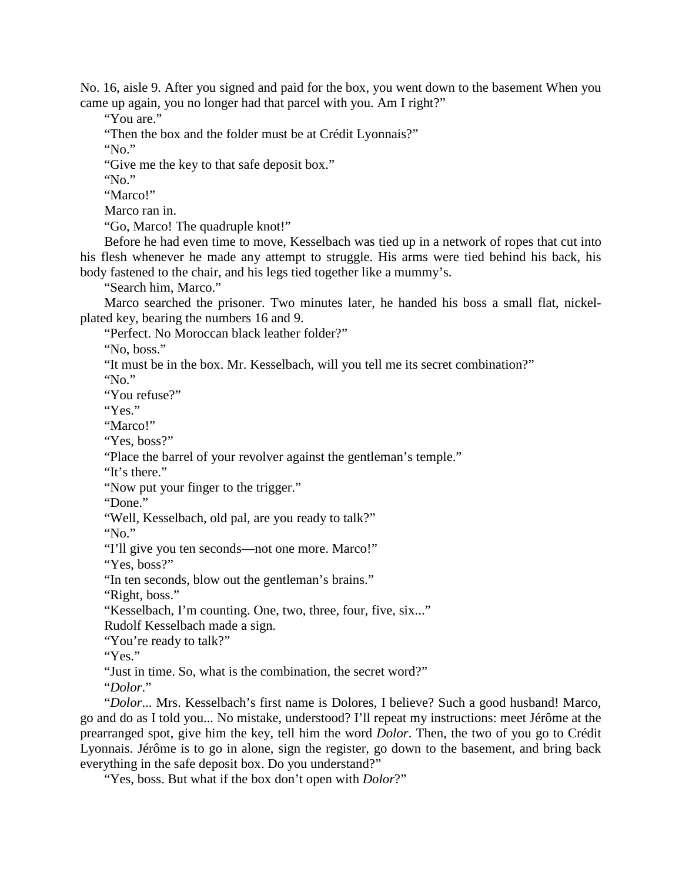No. 16, aisle 9. After you signed and paid for the box, you went down to the basement When you came up again, you no longer had that parcel with you. Am I right?"

"You are."

"Then the box and the folder must be at Crédit Lyonnais?"

"No."

"Give me the key to that safe deposit box."

"No."

"Marco!"

Marco ran in.

"Go, Marco! The quadruple knot!"

Before he had even time to move, Kesselbach was tied up in a network of ropes that cut into his flesh whenever he made any attempt to struggle. His arms were tied behind his back, his body fastened to the chair, and his legs tied together like a mummy's.

"Search him, Marco."

Marco searched the prisoner. Two minutes later, he handed his boss a small flat, nickelplated key, bearing the numbers 16 and 9.

"Perfect. No Moroccan black leather folder?"

"No, boss."

"It must be in the box. Mr. Kesselbach, will you tell me its secret combination?"

"No."

"You refuse?"

"Yes."

"Marco!"

"Yes, boss?"

"Place the barrel of your revolver against the gentleman's temple."

"It's there."

"Now put your finger to the trigger."

"Done."

"Well, Kesselbach, old pal, are you ready to talk?"

"No."

"I'll give you ten seconds—not one more. Marco!"

"Yes, boss?"

"In ten seconds, blow out the gentleman's brains."

"Right, boss."

"Kesselbach, I'm counting. One, two, three, four, five, six..."

Rudolf Kesselbach made a sign.

"You're ready to talk?"

"Yes."

"Just in time. So, what is the combination, the secret word?"

"*Dolor*."

"*Dolor*... Mrs. Kesselbach's first name is Dolores, I believe? Such a good husband! Marco, go and do as I told you... No mistake, understood? I'll repeat my instructions: meet Jérôme at the prearranged spot, give him the key, tell him the word *Dolor*. Then, the two of you go to Crédit Lyonnais. Jérôme is to go in alone, sign the register, go down to the basement, and bring back everything in the safe deposit box. Do you understand?"

"Yes, boss. But what if the box don't open with *Dolor*?"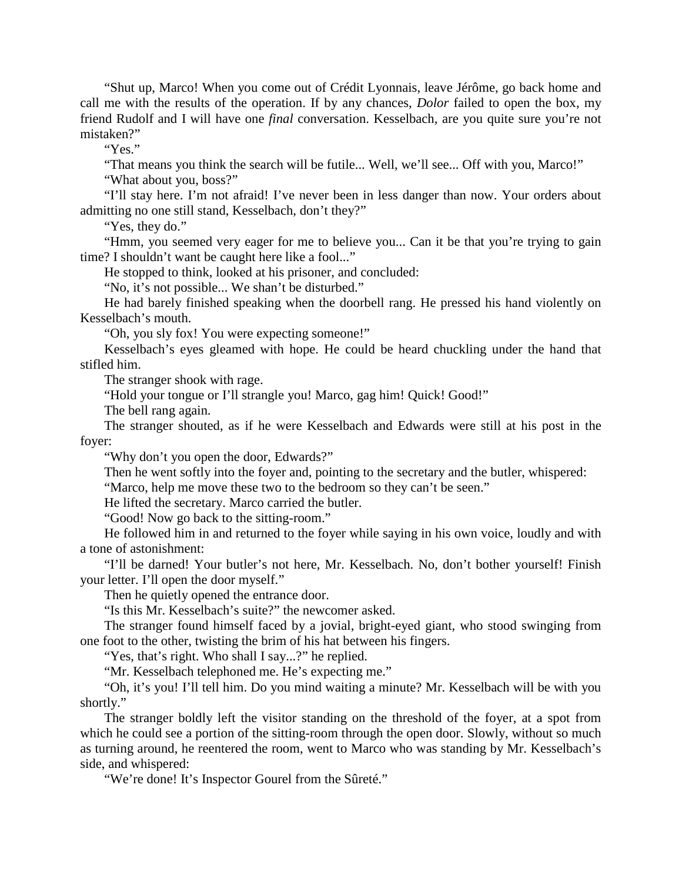"Shut up, Marco! When you come out of Crédit Lyonnais, leave Jérôme, go back home and call me with the results of the operation. If by any chances, *Dolor* failed to open the box, my friend Rudolf and I will have one *final* conversation. Kesselbach, are you quite sure you're not mistaken?"

"Yes."

"That means you think the search will be futile... Well, we'll see... Off with you, Marco!"

"What about you, boss?"

"I'll stay here. I'm not afraid! I've never been in less danger than now. Your orders about admitting no one still stand, Kesselbach, don't they?"

"Yes, they do."

"Hmm, you seemed very eager for me to believe you... Can it be that you're trying to gain time? I shouldn't want be caught here like a fool..."

He stopped to think, looked at his prisoner, and concluded:

"No, it's not possible... We shan't be disturbed."

He had barely finished speaking when the doorbell rang. He pressed his hand violently on Kesselbach's mouth.

"Oh, you sly fox! You were expecting someone!"

Kesselbach's eyes gleamed with hope. He could be heard chuckling under the hand that stifled him.

The stranger shook with rage.

"Hold your tongue or I'll strangle you! Marco, gag him! Quick! Good!"

The bell rang again.

The stranger shouted, as if he were Kesselbach and Edwards were still at his post in the foyer:

"Why don't you open the door, Edwards?"

Then he went softly into the foyer and, pointing to the secretary and the butler, whispered:

"Marco, help me move these two to the bedroom so they can't be seen."

He lifted the secretary. Marco carried the butler.

"Good! Now go back to the sitting-room."

He followed him in and returned to the foyer while saying in his own voice, loudly and with a tone of astonishment:

"I'll be darned! Your butler's not here, Mr. Kesselbach. No, don't bother yourself! Finish your letter. I'll open the door myself."

Then he quietly opened the entrance door.

"Is this Mr. Kesselbach's suite?" the newcomer asked.

The stranger found himself faced by a jovial, bright-eyed giant, who stood swinging from one foot to the other, twisting the brim of his hat between his fingers.

"Yes, that's right. Who shall I say...?" he replied.

"Mr. Kesselbach telephoned me. He's expecting me."

"Oh, it's you! I'll tell him. Do you mind waiting a minute? Mr. Kesselbach will be with you shortly."

The stranger boldly left the visitor standing on the threshold of the foyer, at a spot from which he could see a portion of the sitting-room through the open door. Slowly, without so much as turning around, he reentered the room, went to Marco who was standing by Mr. Kesselbach's side, and whispered:

"We're done! It's Inspector Gourel from the Sûreté."